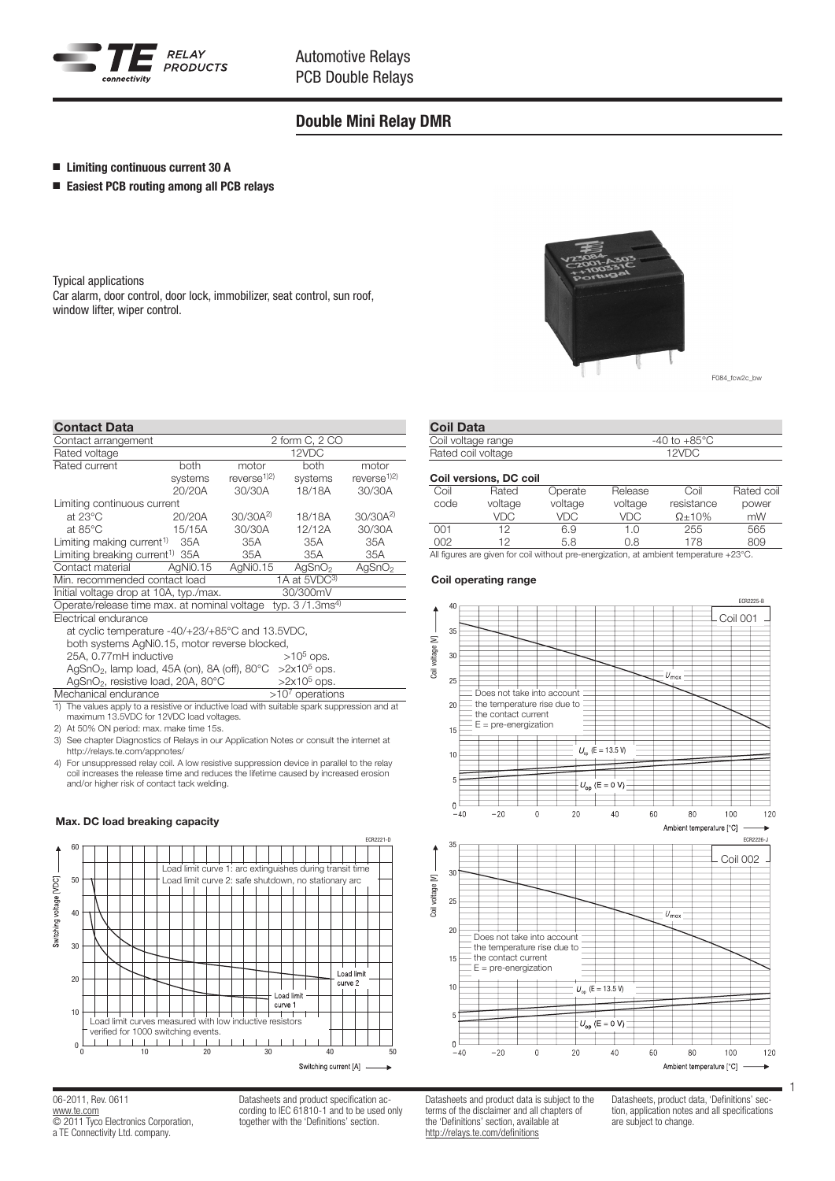

# Double Mini Relay DMR

### $\blacksquare$  Limiting continuous current 30 A

### ■ Easiest PCB routing among all PCB relays

Typical applications Car alarm, door control, door lock, immobilizer, seat control, sun roof, window lifter, wiper control.



F084\_fcw2c\_bw

#### Contact Data

| Contact arrangement                                                                            |                                          | 2 form C, 2 CO          |                    |                         |  |  |  |  |
|------------------------------------------------------------------------------------------------|------------------------------------------|-------------------------|--------------------|-------------------------|--|--|--|--|
| Rated voltage                                                                                  |                                          | 12VDC                   |                    |                         |  |  |  |  |
| Rated current                                                                                  | both                                     |                         | both               | motor                   |  |  |  |  |
|                                                                                                | systems                                  | reverse <sup>1)2)</sup> | systems            | reverse <sup>1)2)</sup> |  |  |  |  |
|                                                                                                | 20/20A                                   | 30/30A                  | 18/18A             | 30/30A                  |  |  |  |  |
| Limiting continuous current                                                                    |                                          |                         |                    |                         |  |  |  |  |
| at $23^{\circ}$ C                                                                              | 20/20A                                   | 30/30A <sup>2</sup>     | 18/18A             | 30/30A <sup>2)</sup>    |  |  |  |  |
| at $85^{\circ}$ C                                                                              | 15/15A                                   | 30/30A                  | 12/12A             | 30/30A                  |  |  |  |  |
| Limiting making current <sup>1)</sup>                                                          | 35A                                      | 35A                     | 35A                | 35A                     |  |  |  |  |
| Limiting breaking current <sup>1)</sup> 35A                                                    |                                          | 35A                     | 35A                | 35A                     |  |  |  |  |
| Contact material                                                                               | AgNi0.15                                 | AgNi0.15                | AqSnO <sub>2</sub> | AgSnO <sub>2</sub>      |  |  |  |  |
| Min, recommended contact load                                                                  | 1A at 5VDC3)                             |                         |                    |                         |  |  |  |  |
| 30/300mV<br>Initial voltage drop at 10A, typ./max.                                             |                                          |                         |                    |                         |  |  |  |  |
| Operate/release time max. at nominal voltage<br>typ. $3/1.3$ ms <sup>4)</sup>                  |                                          |                         |                    |                         |  |  |  |  |
| Electrical endurance                                                                           |                                          |                         |                    |                         |  |  |  |  |
| at cyclic temperature -40/+23/+85°C and 13.5VDC,                                               |                                          |                         |                    |                         |  |  |  |  |
| both systems AgNi0.15, motor reverse blocked,                                                  |                                          |                         |                    |                         |  |  |  |  |
| 25A, 0.77mH inductive                                                                          |                                          |                         | $>10^5$ ops.       |                         |  |  |  |  |
| AgSnO <sub>2</sub> , lamp load, 45A (on), 8A (off), 80 $^{\circ}$ C                            |                                          |                         | $>2x10^5$ ops.     |                         |  |  |  |  |
| AgSnO <sub>2</sub> , resistive load, 20A, 80°C                                                 |                                          |                         | $>2x10^5$ ops.     |                         |  |  |  |  |
| Mechanical endurance                                                                           |                                          |                         | $>107$ operations  |                         |  |  |  |  |
| The values apply to a resistive or inductive load with suitable spark suppression and at<br>1) |                                          |                         |                    |                         |  |  |  |  |
| maximum 13.5VDC for 12VDC load voltages.                                                       |                                          |                         |                    |                         |  |  |  |  |
|                                                                                                | 2) At 50% ON period: max. make time 15s. |                         |                    |                         |  |  |  |  |

3) See chapter Diagnostics of Relays in our Application Notes or consult the internet at http://relays.te.com/appnotes/

4) For unsuppressed relay coil. A low resistive suppression device in parallel to the relay coil increases the release time and reduces the lifetime caused by increased erosion and/or higher risk of contact tack welding.

#### Max. DC load breaking capacity



06-2011, Rev. 0611 www.te.com © 2011 Tyco Electronics Corporation, a TE Connectivity Ltd. company.

Datasheets and product specification according to IEC 61810-1 and to be used only together with the 'Definitions' section.

# Coil Data

| Coil voltage range | -40 to $+85^{\circ}$ C |
|--------------------|------------------------|
| Rated coil voltage | 12VDC                  |

| Rated   | Operate | Release                | Coil          | Rated coil |  |
|---------|---------|------------------------|---------------|------------|--|
| voltage | voltage | voltage                | resistance    | power      |  |
| VDC     | VDC     | VDC                    | $\Omega$ +10% | mW         |  |
| 12      | 6.9     | 1.0                    | 255           | 565        |  |
| 12      | 5.8     | 0.8                    | 178           | 809        |  |
|         |         | Coil versions, DC coil |               |            |  |

All figures are given for coil without pre-energization, at ambient temperature +23°C.

#### Coil operating range



Datasheets and product data is subject to the terms of the disclaimer and all chapters of the 'Definitions' section, available at http://relays.te.com/definitions

Datasheets, product data, 'Definitions' section, application notes and all specifications are subject to change.

1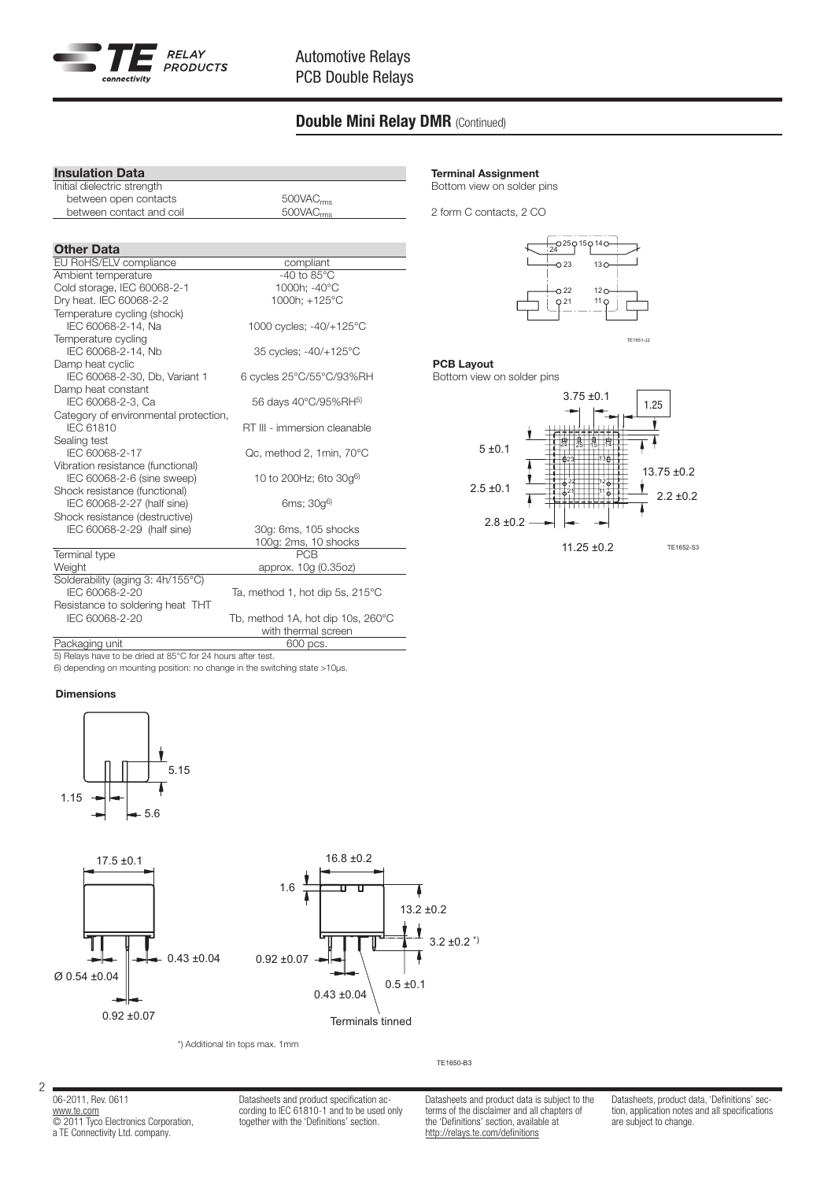

# **Double Mini Relay DMR (Continued)**

#### Insulation Data

**Other Data** 

Initial dielectric strength

Cold storage, IEC 60068-2-1

Temperature cycling (shock)

### between open contacts 500VAC<sub>rms</sub><br>between contact and coil 500VAC<sub>rms</sub> between contact and coil

EU RoHS/ELV compliance compliant Ambient temperature -40 to 85°C<br>Cold storage. IEC 60068-2-1 1000h: -40°C

Dry heat. IEC 60068-2-2 1000h; +125°C

IEC 60068-2-14, Na 1000 cycles; -40/+125°C

# Terminal Assignment

Bottom view on solder pins

2 form C contacts, 2 CO



## PCB Layout

Bottom view on solder pins





#### Temperature cycling<br>IEC 60068-2-14, Nb 35 cycles; -40/+125°C Damp heat cyclic IEC 60068-2-30, Db, Variant 1 6 cycles 25°C/55°C/93%RH Damp heat constant<br>IEC 60068-2-3. Ca 56 days 40°C/95%RH<sup>5)</sup> Category of environmental protection, IEC 61810 RT III - immersion cleanable Sealing test<br>IEC 60068-2-17 Qc, method 2, 1min, 70°C Vibration resistance (functional) IEC 60068-2-6 (sine sweep) 10 to 200Hz; 6to 30g6) Shock resistance (functional)  $IEC 60068-2-27$  (half sine) 6ms;  $30q^{6}$ Shock resistance (destructive) IEC 60068-2-29 (half sine) 30g: 6ms, 105 shocks 100g: 2ms, 10 shocks Terminal type<br>Weight approx. 10g (0.35oz) Solderability (aging 3: 4h/155°C) Ta, method 1, hot dip 5s, 215°C Resistance to soldering heat THT<br>IEC 60068-2-20 Tb, method 1A, hot dip 10s, 260°C with thermal screen

Packaging unit 600 pcs

5) Relays have to be dried at 85°C for 24 hours after test.

6) depending on mounting position: no change in the switching state >10μs.

#### Dimensions



\*) Additional tin tops max. 1mm

TE1650-B3

06-2011, Rev. 0611 www.te.com © 2011 Tyco Electronics Corporation, a TE Connectivity Ltd. company.

2

Datasheets and product specification according to IEC 61810-1 and to be used only together with the 'Definitions' section.

Datasheets and product data is subject to the terms of the disclaimer and all chapters of the 'Definitions' section, available at http://relays.te.com/definitions

Datasheets, product data, 'Definitions' section, application notes and all specifications are subject to change.